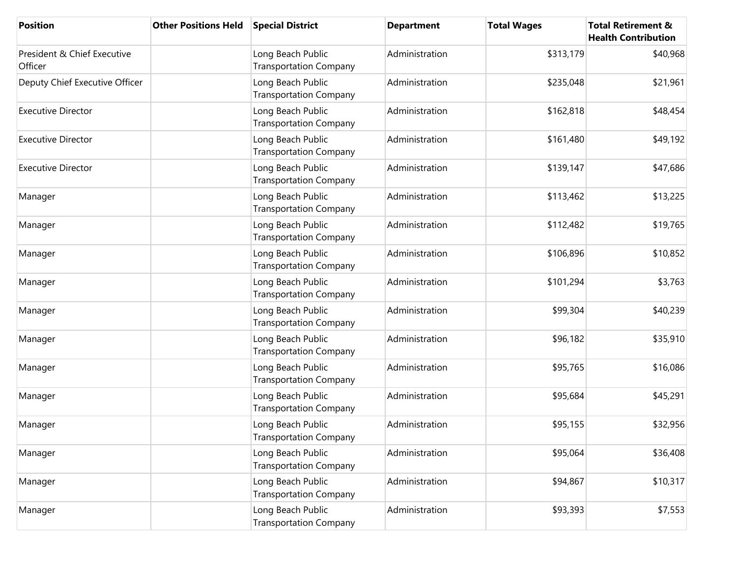| <b>Position</b>                        | <b>Other Positions Held</b> | <b>Special District</b>                            | <b>Department</b> | <b>Total Wages</b> | <b>Total Retirement &amp;</b><br><b>Health Contribution</b> |
|----------------------------------------|-----------------------------|----------------------------------------------------|-------------------|--------------------|-------------------------------------------------------------|
| President & Chief Executive<br>Officer |                             | Long Beach Public<br><b>Transportation Company</b> | Administration    | \$313,179          | \$40,968                                                    |
| Deputy Chief Executive Officer         |                             | Long Beach Public<br><b>Transportation Company</b> | Administration    | \$235,048          | \$21,961                                                    |
| <b>Executive Director</b>              |                             | Long Beach Public<br><b>Transportation Company</b> | Administration    | \$162,818          | \$48,454                                                    |
| <b>Executive Director</b>              |                             | Long Beach Public<br><b>Transportation Company</b> | Administration    | \$161,480          | \$49,192                                                    |
| <b>Executive Director</b>              |                             | Long Beach Public<br><b>Transportation Company</b> | Administration    | \$139,147          | \$47,686                                                    |
| Manager                                |                             | Long Beach Public<br><b>Transportation Company</b> | Administration    | \$113,462          | \$13,225                                                    |
| Manager                                |                             | Long Beach Public<br><b>Transportation Company</b> | Administration    | \$112,482          | \$19,765                                                    |
| Manager                                |                             | Long Beach Public<br><b>Transportation Company</b> | Administration    | \$106,896          | \$10,852                                                    |
| Manager                                |                             | Long Beach Public<br><b>Transportation Company</b> | Administration    | \$101,294          | \$3,763                                                     |
| Manager                                |                             | Long Beach Public<br><b>Transportation Company</b> | Administration    | \$99,304           | \$40,239                                                    |
| Manager                                |                             | Long Beach Public<br><b>Transportation Company</b> | Administration    | \$96,182           | \$35,910                                                    |
| Manager                                |                             | Long Beach Public<br><b>Transportation Company</b> | Administration    | \$95,765           | \$16,086                                                    |
| Manager                                |                             | Long Beach Public<br><b>Transportation Company</b> | Administration    | \$95,684           | \$45,291                                                    |
| Manager                                |                             | Long Beach Public<br><b>Transportation Company</b> | Administration    | \$95,155           | \$32,956                                                    |
| Manager                                |                             | Long Beach Public<br><b>Transportation Company</b> | Administration    | \$95,064           | \$36,408                                                    |
| Manager                                |                             | Long Beach Public<br><b>Transportation Company</b> | Administration    | \$94,867           | \$10,317                                                    |
| Manager                                |                             | Long Beach Public<br><b>Transportation Company</b> | Administration    | \$93,393           | \$7,553                                                     |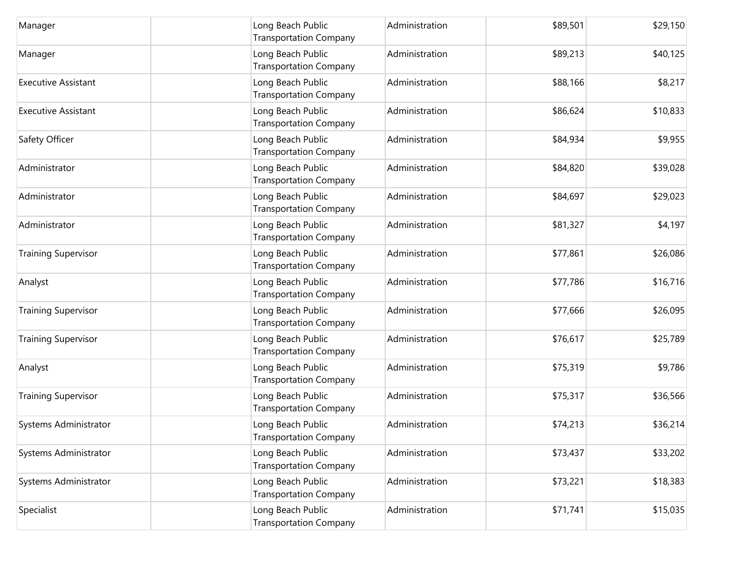| Manager                    | Long Beach Public<br><b>Transportation Company</b> | Administration | \$89,501 | \$29,150 |
|----------------------------|----------------------------------------------------|----------------|----------|----------|
| Manager                    | Long Beach Public<br><b>Transportation Company</b> | Administration | \$89,213 | \$40,125 |
| <b>Executive Assistant</b> | Long Beach Public<br><b>Transportation Company</b> | Administration | \$88,166 | \$8,217  |
| <b>Executive Assistant</b> | Long Beach Public<br><b>Transportation Company</b> | Administration | \$86,624 | \$10,833 |
| Safety Officer             | Long Beach Public<br><b>Transportation Company</b> | Administration | \$84,934 | \$9,955  |
| Administrator              | Long Beach Public<br><b>Transportation Company</b> | Administration | \$84,820 | \$39,028 |
| Administrator              | Long Beach Public<br><b>Transportation Company</b> | Administration | \$84,697 | \$29,023 |
| Administrator              | Long Beach Public<br><b>Transportation Company</b> | Administration | \$81,327 | \$4,197  |
| <b>Training Supervisor</b> | Long Beach Public<br><b>Transportation Company</b> | Administration | \$77,861 | \$26,086 |
| Analyst                    | Long Beach Public<br><b>Transportation Company</b> | Administration | \$77,786 | \$16,716 |
| <b>Training Supervisor</b> | Long Beach Public<br><b>Transportation Company</b> | Administration | \$77,666 | \$26,095 |
| <b>Training Supervisor</b> | Long Beach Public<br><b>Transportation Company</b> | Administration | \$76,617 | \$25,789 |
| Analyst                    | Long Beach Public<br><b>Transportation Company</b> | Administration | \$75,319 | \$9,786  |
| <b>Training Supervisor</b> | Long Beach Public<br><b>Transportation Company</b> | Administration | \$75,317 | \$36,566 |
| Systems Administrator      | Long Beach Public<br><b>Transportation Company</b> | Administration | \$74,213 | \$36,214 |
| Systems Administrator      | Long Beach Public<br><b>Transportation Company</b> | Administration | \$73,437 | \$33,202 |
| Systems Administrator      | Long Beach Public<br><b>Transportation Company</b> | Administration | \$73,221 | \$18,383 |
| Specialist                 | Long Beach Public<br><b>Transportation Company</b> | Administration | \$71,741 | \$15,035 |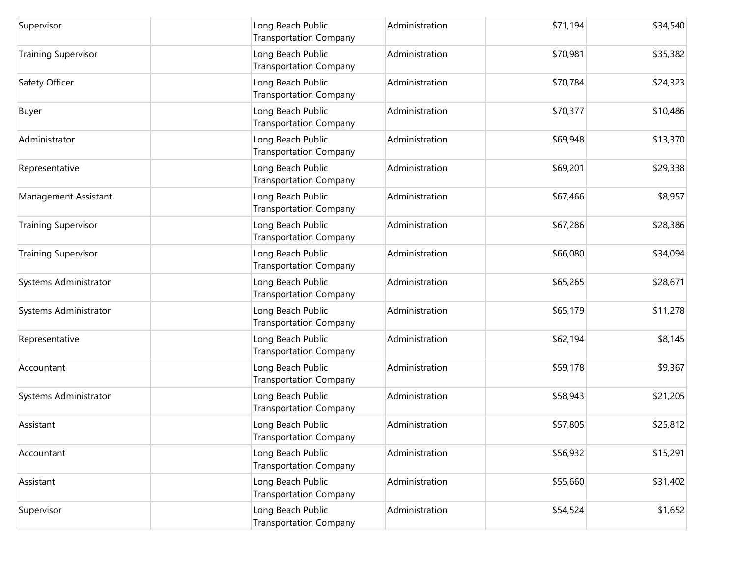| Supervisor                 | Long Beach Public<br><b>Transportation Company</b> | Administration | \$71,194 | \$34,540 |
|----------------------------|----------------------------------------------------|----------------|----------|----------|
| <b>Training Supervisor</b> | Long Beach Public<br><b>Transportation Company</b> | Administration | \$70,981 | \$35,382 |
| Safety Officer             | Long Beach Public<br><b>Transportation Company</b> | Administration | \$70,784 | \$24,323 |
| Buyer                      | Long Beach Public<br><b>Transportation Company</b> | Administration | \$70,377 | \$10,486 |
| Administrator              | Long Beach Public<br><b>Transportation Company</b> | Administration | \$69,948 | \$13,370 |
| Representative             | Long Beach Public<br><b>Transportation Company</b> | Administration | \$69,201 | \$29,338 |
| Management Assistant       | Long Beach Public<br><b>Transportation Company</b> | Administration | \$67,466 | \$8,957  |
| <b>Training Supervisor</b> | Long Beach Public<br><b>Transportation Company</b> | Administration | \$67,286 | \$28,386 |
| <b>Training Supervisor</b> | Long Beach Public<br><b>Transportation Company</b> | Administration | \$66,080 | \$34,094 |
| Systems Administrator      | Long Beach Public<br><b>Transportation Company</b> | Administration | \$65,265 | \$28,671 |
| Systems Administrator      | Long Beach Public<br><b>Transportation Company</b> | Administration | \$65,179 | \$11,278 |
| Representative             | Long Beach Public<br><b>Transportation Company</b> | Administration | \$62,194 | \$8,145  |
| Accountant                 | Long Beach Public<br><b>Transportation Company</b> | Administration | \$59,178 | \$9,367  |
| Systems Administrator      | Long Beach Public<br><b>Transportation Company</b> | Administration | \$58,943 | \$21,205 |
| Assistant                  | Long Beach Public<br><b>Transportation Company</b> | Administration | \$57,805 | \$25,812 |
| Accountant                 | Long Beach Public<br><b>Transportation Company</b> | Administration | \$56,932 | \$15,291 |
| Assistant                  | Long Beach Public<br><b>Transportation Company</b> | Administration | \$55,660 | \$31,402 |
| Supervisor                 | Long Beach Public<br><b>Transportation Company</b> | Administration | \$54,524 | \$1,652  |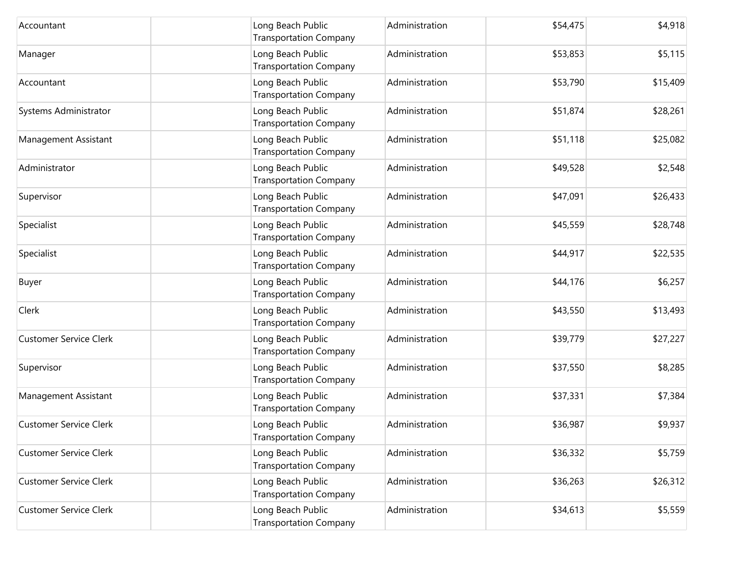| Accountant                    | Long Beach Public<br><b>Transportation Company</b> | Administration | \$54,475 | \$4,918  |
|-------------------------------|----------------------------------------------------|----------------|----------|----------|
| Manager                       | Long Beach Public<br><b>Transportation Company</b> | Administration | \$53,853 | \$5,115  |
| Accountant                    | Long Beach Public<br><b>Transportation Company</b> | Administration | \$53,790 | \$15,409 |
| Systems Administrator         | Long Beach Public<br><b>Transportation Company</b> | Administration | \$51,874 | \$28,261 |
| Management Assistant          | Long Beach Public<br><b>Transportation Company</b> | Administration | \$51,118 | \$25,082 |
| Administrator                 | Long Beach Public<br><b>Transportation Company</b> | Administration | \$49,528 | \$2,548  |
| Supervisor                    | Long Beach Public<br><b>Transportation Company</b> | Administration | \$47,091 | \$26,433 |
| Specialist                    | Long Beach Public<br><b>Transportation Company</b> | Administration | \$45,559 | \$28,748 |
| Specialist                    | Long Beach Public<br><b>Transportation Company</b> | Administration | \$44,917 | \$22,535 |
| Buyer                         | Long Beach Public<br><b>Transportation Company</b> | Administration | \$44,176 | \$6,257  |
| Clerk                         | Long Beach Public<br><b>Transportation Company</b> | Administration | \$43,550 | \$13,493 |
| <b>Customer Service Clerk</b> | Long Beach Public<br><b>Transportation Company</b> | Administration | \$39,779 | \$27,227 |
| Supervisor                    | Long Beach Public<br><b>Transportation Company</b> | Administration | \$37,550 | \$8,285  |
| Management Assistant          | Long Beach Public<br><b>Transportation Company</b> | Administration | \$37,331 | \$7,384  |
| <b>Customer Service Clerk</b> | Long Beach Public<br><b>Transportation Company</b> | Administration | \$36,987 | \$9,937  |
| <b>Customer Service Clerk</b> | Long Beach Public<br><b>Transportation Company</b> | Administration | \$36,332 | \$5,759  |
| <b>Customer Service Clerk</b> | Long Beach Public<br><b>Transportation Company</b> | Administration | \$36,263 | \$26,312 |
| <b>Customer Service Clerk</b> | Long Beach Public<br><b>Transportation Company</b> | Administration | \$34,613 | \$5,559  |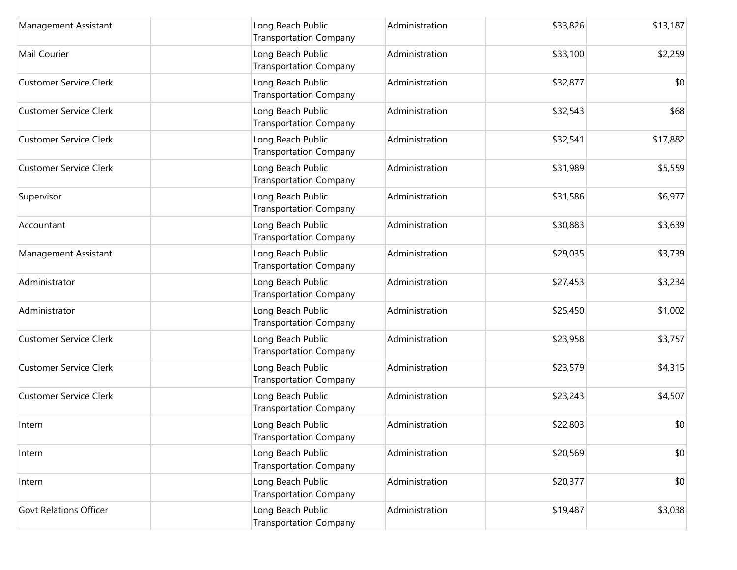| Management Assistant          | Long Beach Public<br><b>Transportation Company</b> | Administration | \$33,826 | \$13,187 |
|-------------------------------|----------------------------------------------------|----------------|----------|----------|
| Mail Courier                  | Long Beach Public<br><b>Transportation Company</b> | Administration | \$33,100 | \$2,259  |
| <b>Customer Service Clerk</b> | Long Beach Public<br><b>Transportation Company</b> | Administration | \$32,877 | \$0      |
| <b>Customer Service Clerk</b> | Long Beach Public<br><b>Transportation Company</b> | Administration | \$32,543 | \$68     |
| <b>Customer Service Clerk</b> | Long Beach Public<br><b>Transportation Company</b> | Administration | \$32,541 | \$17,882 |
| <b>Customer Service Clerk</b> | Long Beach Public<br><b>Transportation Company</b> | Administration | \$31,989 | \$5,559  |
| Supervisor                    | Long Beach Public<br><b>Transportation Company</b> | Administration | \$31,586 | \$6,977  |
| Accountant                    | Long Beach Public<br><b>Transportation Company</b> | Administration | \$30,883 | \$3,639  |
| Management Assistant          | Long Beach Public<br><b>Transportation Company</b> | Administration | \$29,035 | \$3,739  |
| Administrator                 | Long Beach Public<br><b>Transportation Company</b> | Administration | \$27,453 | \$3,234  |
| Administrator                 | Long Beach Public<br><b>Transportation Company</b> | Administration | \$25,450 | \$1,002  |
| <b>Customer Service Clerk</b> | Long Beach Public<br><b>Transportation Company</b> | Administration | \$23,958 | \$3,757  |
| <b>Customer Service Clerk</b> | Long Beach Public<br><b>Transportation Company</b> | Administration | \$23,579 | \$4,315  |
| <b>Customer Service Clerk</b> | Long Beach Public<br><b>Transportation Company</b> | Administration | \$23,243 | \$4,507  |
| Intern                        | Long Beach Public<br><b>Transportation Company</b> | Administration | \$22,803 | \$0      |
| Intern                        | Long Beach Public<br><b>Transportation Company</b> | Administration | \$20,569 | \$0      |
| Intern                        | Long Beach Public<br><b>Transportation Company</b> | Administration | \$20,377 | \$0      |
| <b>Govt Relations Officer</b> | Long Beach Public<br><b>Transportation Company</b> | Administration | \$19,487 | \$3,038  |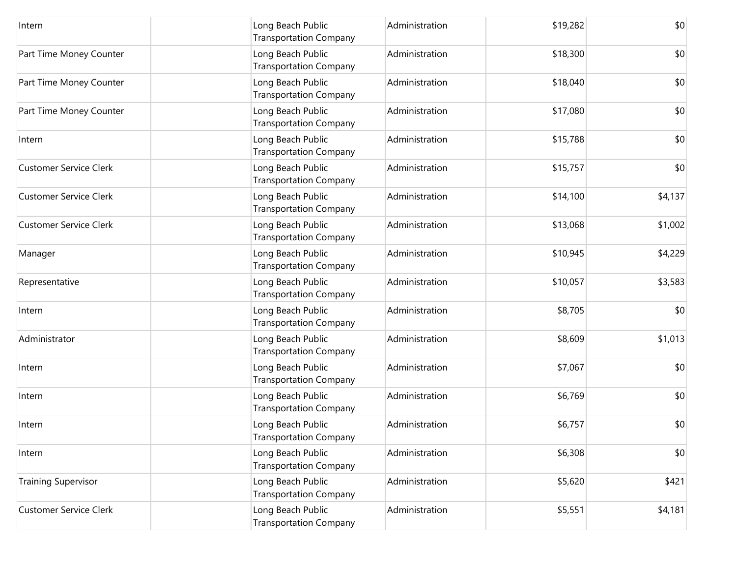| Intern                        | Long Beach Public<br><b>Transportation Company</b> | Administration | \$19,282 | \$0     |
|-------------------------------|----------------------------------------------------|----------------|----------|---------|
| Part Time Money Counter       | Long Beach Public<br><b>Transportation Company</b> | Administration | \$18,300 | \$0     |
| Part Time Money Counter       | Long Beach Public<br><b>Transportation Company</b> | Administration | \$18,040 | \$0     |
| Part Time Money Counter       | Long Beach Public<br><b>Transportation Company</b> | Administration | \$17,080 | \$0     |
| Intern                        | Long Beach Public<br><b>Transportation Company</b> | Administration | \$15,788 | \$0     |
| <b>Customer Service Clerk</b> | Long Beach Public<br><b>Transportation Company</b> | Administration | \$15,757 | \$0     |
| <b>Customer Service Clerk</b> | Long Beach Public<br><b>Transportation Company</b> | Administration | \$14,100 | \$4,137 |
| <b>Customer Service Clerk</b> | Long Beach Public<br><b>Transportation Company</b> | Administration | \$13,068 | \$1,002 |
| Manager                       | Long Beach Public<br><b>Transportation Company</b> | Administration | \$10,945 | \$4,229 |
| Representative                | Long Beach Public<br><b>Transportation Company</b> | Administration | \$10,057 | \$3,583 |
| Intern                        | Long Beach Public<br><b>Transportation Company</b> | Administration | \$8,705  | \$0     |
| Administrator                 | Long Beach Public<br><b>Transportation Company</b> | Administration | \$8,609  | \$1,013 |
| Intern                        | Long Beach Public<br><b>Transportation Company</b> | Administration | \$7,067  | \$0     |
| Intern                        | Long Beach Public<br><b>Transportation Company</b> | Administration | \$6,769  | \$0     |
| Intern                        | Long Beach Public<br><b>Transportation Company</b> | Administration | \$6,757  | \$0     |
| Intern                        | Long Beach Public<br><b>Transportation Company</b> | Administration | \$6,308  | \$0     |
| <b>Training Supervisor</b>    | Long Beach Public<br><b>Transportation Company</b> | Administration | \$5,620  | \$421   |
| <b>Customer Service Clerk</b> | Long Beach Public<br><b>Transportation Company</b> | Administration | \$5,551  | \$4,181 |